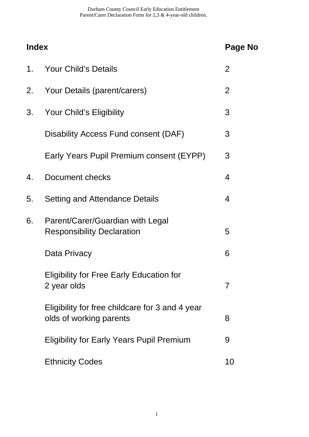Durham County Council Early Education Entitlement Parent/Carer Declaration Form for 2,3 & 4-year-old children.

| <b>Index</b> |                                                                            | <b>Page No</b> |
|--------------|----------------------------------------------------------------------------|----------------|
| 1.           | Your Child's Details                                                       | $\overline{2}$ |
| 2.           | Your Details (parent/carers)                                               | 2              |
| 3.           | Your Child's Eligibility                                                   | 3              |
|              | Disability Access Fund consent (DAF)                                       | 3              |
|              | Early Years Pupil Premium consent (EYPP)                                   | 3              |
| 4.           | Document checks                                                            | 4              |
| 5.           | <b>Setting and Attendance Details</b>                                      | 4              |
| 6.           | Parent/Carer/Guardian with Legal<br><b>Responsibility Declaration</b>      | 5              |
|              | Data Privacy                                                               | 6              |
|              | <b>Eligibility for Free Early Education for</b><br>2 year olds             | $\overline{7}$ |
|              | Eligibility for free childcare for 3 and 4 year<br>olds of working parents | 8              |
|              | <b>Eligibility for Early Years Pupil Premium</b>                           | 9              |
|              | <b>Ethnicity Codes</b>                                                     | 10             |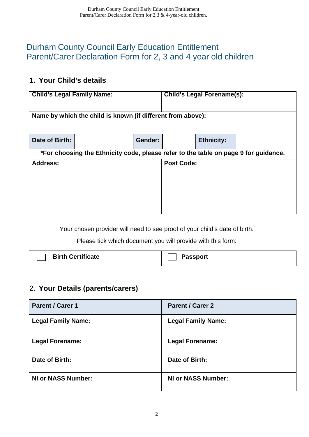# Durham County Council Early Education Entitlement Parent/Carer Declaration Form for 2, 3 and 4 year old children

### **1. Your Child's details**

| <b>Child's Legal Family Name:</b> |                                                                                     |         |                   | <b>Child's Legal Forename(s):</b> |  |
|-----------------------------------|-------------------------------------------------------------------------------------|---------|-------------------|-----------------------------------|--|
|                                   |                                                                                     |         |                   |                                   |  |
|                                   | Name by which the child is known (if different from above):                         |         |                   |                                   |  |
|                                   |                                                                                     |         |                   |                                   |  |
| Date of Birth:                    |                                                                                     | Gender: |                   | <b>Ethnicity:</b>                 |  |
|                                   | *For choosing the Ethnicity code, please refer to the table on page 9 for guidance. |         |                   |                                   |  |
| <b>Address:</b>                   |                                                                                     |         | <b>Post Code:</b> |                                   |  |
|                                   |                                                                                     |         |                   |                                   |  |
|                                   |                                                                                     |         |                   |                                   |  |
|                                   |                                                                                     |         |                   |                                   |  |
|                                   |                                                                                     |         |                   |                                   |  |

Your chosen provider will need to see proof of your child's date of birth.

Please tick which document you will provide with this form:

| <b>Birth Certificate</b> | <b>Passport</b> |
|--------------------------|-----------------|
|--------------------------|-----------------|

# 2. **Your Details (parents/carers)**

| <b>Parent / Carer 1</b>   | <b>Parent / Carer 2</b>   |
|---------------------------|---------------------------|
| <b>Legal Family Name:</b> | <b>Legal Family Name:</b> |
| <b>Legal Forename:</b>    | <b>Legal Forename:</b>    |
| Date of Birth:            | Date of Birth:            |
| <b>NI or NASS Number:</b> | <b>NI or NASS Number:</b> |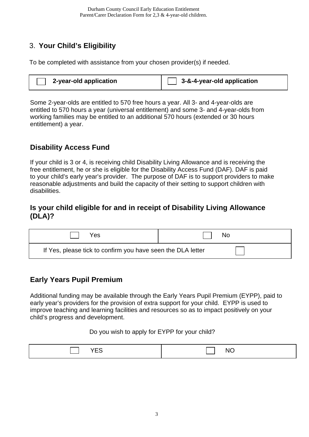# 3. **Your Child's Eligibility**

To be completed with assistance from your chosen provider(s) if needed.

| 2-year-old application | 3-&-4-year-old application |
|------------------------|----------------------------|
|------------------------|----------------------------|

Some 2-year-olds are entitled to 570 free hours a year. All 3- and 4-year-olds are entitled to 570 hours a year (universal entitlement) and some 3- and 4-year-olds from working families may be entitled to an additional 570 hours (extended or 30 hours entitlement) a year.

### **Disability Access Fund**

If your child is 3 or 4, is receiving child Disability Living Allowance and is receiving the free entitlement, he or she is eligible for the Disability Access Fund (DAF). DAF is paid to your child's early year's provider. The purpose of DAF is to support providers to make reasonable adjustments and build the capacity of their setting to support children with disabilities.

#### **Is your child eligible for and in receipt of Disability Living Allowance (DLA)?**

| Yes.                                                        | No |
|-------------------------------------------------------------|----|
| If Yes, please tick to confirm you have seen the DLA letter |    |

### **Early Years Pupil Premium**

Additional funding may be available through the Early Years Pupil Premium (EYPP), paid to early year's providers for the provision of extra support for your child. EYPP is used to improve teaching and learning facilities and resources so as to impact positively on your child's progress and development.

#### Do you wish to apply for EYPP for your child?

| $\sim$<br>________ | ◥<br>$\sim$ |
|--------------------|-------------|
|--------------------|-------------|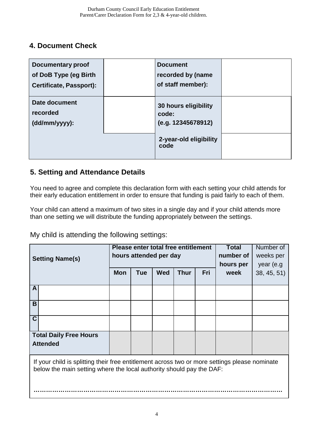### **4. Document Check**

| <b>Documentary proof</b><br>of DoB Type (eg Birth<br><b>Certificate, Passport):</b> | <b>Document</b><br>recorded by (name<br>of staff member): |  |
|-------------------------------------------------------------------------------------|-----------------------------------------------------------|--|
| Date document<br>recorded<br>$(dd/mm/yyyy)$ :                                       | 30 hours eligibility<br>code:<br>(e.g. 12345678912)       |  |
|                                                                                     | 2-year-old eligibility<br>code                            |  |

### **5. Setting and Attendance Details**

You need to agree and complete this declaration form with each setting your child attends for their early education entitlement in order to ensure that funding is paid fairly to each of them.

Your child can attend a maximum of two sites in a single day and if your child attends more than one setting we will distribute the funding appropriately between the settings.

My child is attending the following settings:

| <b>Setting Name(s)</b>                                                                                                                                                | Please enter total free entitlement<br>hours attended per day |            |            |             |     | <b>Total</b><br>number of<br>hours per | Number of<br>weeks per<br>year (e.g |
|-----------------------------------------------------------------------------------------------------------------------------------------------------------------------|---------------------------------------------------------------|------------|------------|-------------|-----|----------------------------------------|-------------------------------------|
|                                                                                                                                                                       | <b>Mon</b>                                                    | <b>Tue</b> | <b>Wed</b> | <b>Thur</b> | Fri | week                                   | 38, 45, 51)                         |
| A                                                                                                                                                                     |                                                               |            |            |             |     |                                        |                                     |
| B                                                                                                                                                                     |                                                               |            |            |             |     |                                        |                                     |
| $\overline{\mathsf{C}}$                                                                                                                                               |                                                               |            |            |             |     |                                        |                                     |
| <b>Total Daily Free Hours</b><br><b>Attended</b>                                                                                                                      |                                                               |            |            |             |     |                                        |                                     |
| If your child is splitting their free entitlement across two or more settings please nominate<br>below the main setting where the local authority should pay the DAF: |                                                               |            |            |             |     |                                        |                                     |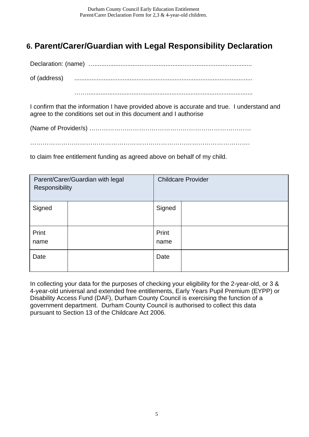# **6. Parent/Carer/Guardian with Legal Responsibility Declaration**

Declaration: (name) …...........................................................................................

of (address) .......................................................................................................

……................................................................................................

I confirm that the information I have provided above is accurate and true. I understand and agree to the conditions set out in this document and I authorise

(Name of Provider/s) ……………………………………………………………………

…………………………………………………………………………………………….

to claim free entitlement funding as agreed above on behalf of my child.

| Parent/Carer/Guardian with legal<br>Responsibility |  | <b>Childcare Provider</b> |  |  |
|----------------------------------------------------|--|---------------------------|--|--|
| Signed                                             |  | Signed                    |  |  |
| Print<br>name                                      |  | Print<br>name             |  |  |
| Date                                               |  | Date                      |  |  |

In collecting your data for the purposes of checking your eligibility for the 2-year-old, or 3 & 4-year-old universal and extended free entitlements, Early Years Pupil Premium (EYPP) or Disability Access Fund (DAF), Durham County Council is exercising the function of a government department. Durham County Council is authorised to collect this data pursuant to Section 13 of the Childcare Act 2006.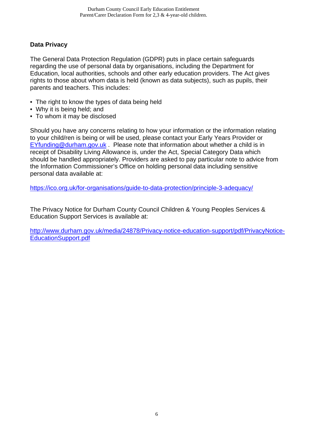#### **Data Privacy**

The General Data Protection Regulation (GDPR) puts in place certain safeguards regarding the use of personal data by organisations, including the Department for Education, local authorities, schools and other early education providers. The Act gives rights to those about whom data is held (known as data subjects), such as pupils, their parents and teachers. This includes:

- The right to know the types of data being held
- Why it is being held; and
- To whom it may be disclosed

Should you have any concerns relating to how your information or the information relating to your child/ren is being or will be used, please contact your Early Years Provider or [EYfunding@durham.gov.uk](mailto:EYfunding@durham.gov.uk) . Please note that information about whether a child is in receipt of Disability Living Allowance is, under the Act, Special Category Data which should be handled appropriately. Providers are asked to pay particular note to advice from the Information Commissioner's Office on holding personal data including sensitive personal data available at:

<https://ico.org.uk/for-organisations/guide-to-data-protection/principle-3-adequacy/>

The Privacy Notice for Durham County Council Children & Young Peoples Services & Education Support Services is available at:

[http://www.durham.gov.uk/media/24878/Privacy-notice-education-support/pdf/PrivacyNotice-](http://www.durham.gov.uk/media/24878/Privacy-notice-education-support/pdf/PrivacyNotice-EducationSupport.pdf)[EducationSupport.pdf](http://www.durham.gov.uk/media/24878/Privacy-notice-education-support/pdf/PrivacyNotice-EducationSupport.pdf)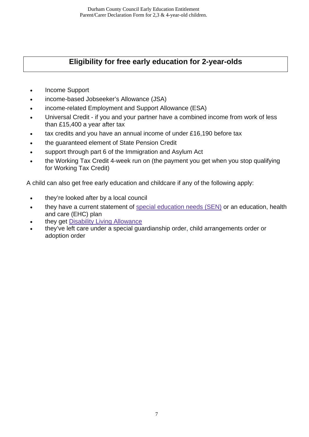# **Eligibility for free early education for 2-year-olds**

- Income Support
- income-based Jobseeker's Allowance (JSA)
- income-related Employment and Support Allowance (ESA)
- Universal Credit if you and your partner have a combined income from work of less than £15,400 a year after tax
- tax credits and you have an annual income of under £16,190 before tax
- the guaranteed element of State Pension Credit
- support through part 6 of the Immigration and Asylum Act
- the Working Tax Credit 4-week run on (the payment you get when you stop qualifying for Working Tax Credit)

A child can also get free early education and childcare if any of the following apply:

- they're looked after by a local council
- they have a current statement of special [education](https://www.gov.uk/children-with-special-educational-needs) needs (SEN) or an education, health and care (EHC) plan
- they get Disability Living [Allowance](https://www.gov.uk/disability-living-allowance-children)
- they've left care under a special guardianship order, child arrangements order or adoption order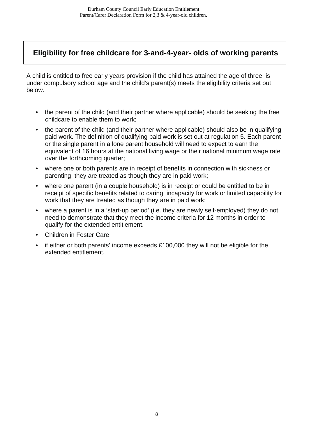**Eligibility for free childcare for 3-and-4-year- olds of working parents**

A child is entitled to free early years provision if the child has attained the age of three, is under compulsory school age and the child's parent(s) meets the eligibility criteria set out below.

- the parent of the child (and their partner where applicable) should be seeking the free childcare to enable them to work;
- the parent of the child (and their partner where applicable) should also be in qualifying paid work. The definition of qualifying paid work is set out at regulation 5. Each parent or the single parent in a lone parent household will need to expect to earn the equivalent of 16 hours at the national living wage or their national minimum wage rate over the forthcoming quarter;
- where one or both parents are in receipt of benefits in connection with sickness or parenting, they are treated as though they are in paid work;
- where one parent (in a couple household) is in receipt or could be entitled to be in receipt of specific benefits related to caring, incapacity for work or limited capability for work that they are treated as though they are in paid work;
- where a parent is in a 'start-up period' (i.e. they are newly self-employed) they do not need to demonstrate that they meet the income criteria for 12 months in order to qualify for the extended entitlement.
- Children in Foster Care
- if either or both parents' income exceeds  $£100,000$  they will not be eligible for the extended entitlement.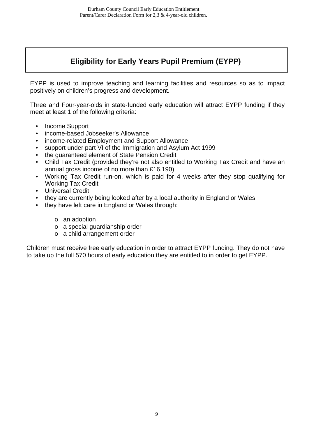# **Eligibility for Early Years Pupil Premium (EYPP)**

EYPP is used to improve teaching and learning facilities and resources so as to impact positively on children's progress and development.

Three and Four-year-olds in state-funded early education will attract EYPP funding if they meet at least 1 of the following criteria:

- Income Support
- income-based Jobseeker's Allowance
- income-related Employment and Support Allowance
- support under part VI of the Immigration and Asylum Act 1999
- the guaranteed element of State Pension Credit
- Child Tax Credit (provided they're not also entitled to Working Tax Credit and have an annual gross income of no more than £16,190)
- Working Tax Credit run-on, which is paid for 4 weeks after they stop qualifying for Working Tax Credit
- Universal Credit
- they are currently being looked after by a local authority in England or Wales
- they have left care in England or Wales through:
	- o an adoption
	- o a special guardianship order
	- o a child arrangement order

Children must receive free early education in order to attract EYPP funding. They do not have to take up the full 570 hours of early education they are entitled to in order to get EYPP.